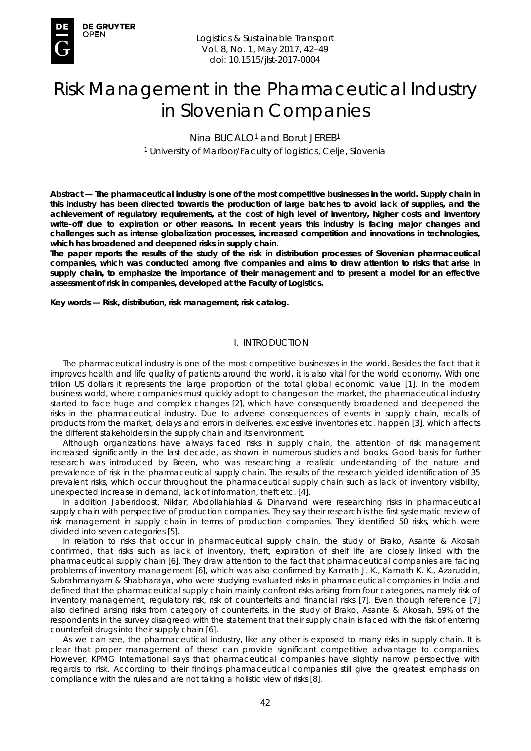

# Risk Management in the Pharmaceutical Industry in Slovenian Companies

Nina BUCALO<sup>1</sup> and Borut JEREB<sup>1</sup> <sup>1</sup> University of Maribor/Faculty of logistics, Celje, Slovenia

*Abstract* **— The pharmaceutical industry is one of the most competitive businesses in the world. Supply chain in this industry has been directed towards the production of large batches to avoid lack of supplies, and the achievement of regulatory requirements, at the cost of high level of inventory, higher costs and inventory write-off due to expiration or other reasons. In recent years this industry is facing major changes and challenges such as intense globalization processes, increased competition and innovations in technologies, which has broadened and deepened risks in supply chain.** 

**The paper reports the results of the study of the risk in distribution processes of Slovenian pharmaceutical companies, which was conducted among five companies and aims to draw attention to risks that arise in supply chain, to emphasize the importance of their management and to present a model for an effective assessment of risk in companies, developed at the Faculty of Logistics.** 

*Key words* **— Risk, distribution, risk management, risk catalog.** 

## I. INTRODUCTION

The pharmaceutical industry is one of the most competitive businesses in the world. Besides the fact that it improves health and life quality of patients around the world, it is also vital for the world economy. With one trilion US dollars it represents the large proportion of the total global economic value [1]. In the modern business world, where companies must quickly adopt to changes on the market, the pharmaceutical industry started to face huge and complex changes [2], which have consequently broadened and deepened the risks in the pharmaceutical industry. Due to adverse consequences of events in supply chain, recalls of products from the market, delays and errors in deliveries, excessive inventories etc. happen [3], which affects the different stakeholders in the supply chain and its environment.

Although organizations have always faced risks in supply chain, the attention of risk management increased significantly in the last decade, as shown in numerous studies and books. Good basis for further research was introduced by Breen, who was researching a realistic understanding of the nature and prevalence of risk in the pharmaceutical supply chain. The results of the research yielded identification of 35 prevalent risks, which occur throughout the pharmaceutical supply chain such as lack of inventory visibility, unexpected increase in demand, lack of information, theft etc. [4].

In addition Jaberidoost, Nikfar, Abdollahiahiasl & Dinarvand were researching risks in pharmaceutical supply chain with perspective of production companies. They say their research is the first systematic review of risk management in supply chain in terms of production companies. They identified 50 risks, which were divided into seven categories [5].

In relation to risks that occur in pharmaceutical supply chain, the study of Brako, Asante & Akosah confirmed, that risks such as lack of inventory, theft, expiration of shelf life are closely linked with the pharmaceutical supply chain [6]. They draw attention to the fact that pharmaceutical companies are facing problems of inventory management [6], which was also confirmed by Kamath J. K., Kamath K. K., Azaruddin, Subrahmanyam & Shabharaya, who were studying evaluated risks in pharmaceutical companies in India and defined that the pharmaceutical supply chain mainly confront risks arising from four categories, namely risk of inventory management, regulatory risk, risk of counterfeits and financial risks [7]. Even though reference [7] also defined arising risks from category of counterfeits, in the study of Brako, Asante & Akosah, 59% of the respondents in the survey disagreed with the statement that their supply chain is faced with the risk of entering counterfeit drugs into their supply chain [6].

As we can see, the pharmaceutical industry, like any other is exposed to many risks in supply chain. It is clear that proper management of these can provide significant competitive advantage to companies. However, KPMG International says that pharmaceutical companies have slightly narrow perspective with regards to risk. According to their findings pharmaceutical companies still give the greatest emphasis on compliance with the rules and are not taking a holistic view of risks [8].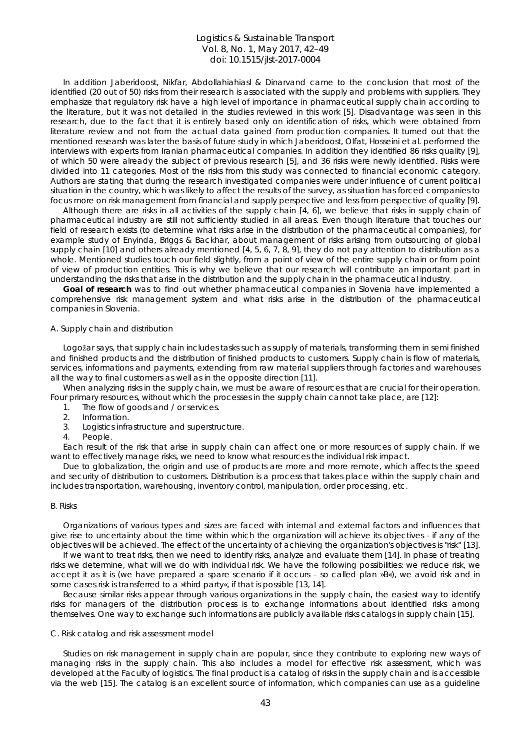In addition Jaberidoost, Nikfar, Abdollahiahiasl & Dinarvand came to the conclusion that most of the identified (20 out of 50) risks from their research is associated with the supply and problems with suppliers. They emphasize that regulatory risk have a high level of importance in pharmaceutical supply chain according to the literature, but it was not detailed in the studies reviewed in this work [5]. Disadvantage was seen in this research, due to the fact that it is entirely based only on identification of risks, which were obtained from literature review and not from the actual data gained from production companies. It turned out that the mentioned researsh was later the basis of future study in which Jaberidoost, Olfat, Hosseini et al. performed the interviews with experts from Iranian pharmaceutical companies. In addition they identified 86 risks quality [9], of which 50 were already the subject of previous research [5], and 36 risks were newly identified. Risks were divided into 11 categories. Most of the risks from this study was connected to financial economic category. Authors are stating that during the research investigated companies were under influence of current political situation in the country, which was likely to affect the results of the survey, as situation has forced companies to focus more on risk management from financial and supply perspective and less from perspective of quality [9].

Although there are risks in all activities of the supply chain [4, 6], we believe that risks in supply chain of pharmaceutical industry are still not sufficiently studied in all areas. Even though literature that touches our field of research exists (to determine what risks arise in the distribution of the pharmaceutical companies), for example study of Enyinda, Briggs & Backhar, about management of risks arising from outsourcing of global supply chain  $[10]$  and others already mentioned  $[4, 5, 6, 7, 8, 9]$ , they do not pay attention to distribution as a whole. Mentioned studies touch our field slightly, from a point of view of the entire supply chain or from point of view of production entities. This is why we believe that our research will contribute an important part in understanding the risks that arise in the distribution and the supply chain in the pharmaceutical industry.

**Goal of research** was to find out whether pharmaceutical companies in Slovenia have implemented a comprehensive risk management system and what risks arise in the distribution of the pharmaceutical companies in Slovenia.

#### *A. Supply chain and distribution*

Logožar says, that supply chain includes tasks such as supply of materials, transforming them in semi finished and finished products and the distribution of finished products to customers. Supply chain is flow of materials, services, informations and payments, extending from raw material suppliers through factories and warehouses all the way to final customers as well as in the opposite direction [11].

When analyzing risks in the supply chain, we must be aware of resources that are crucial for their operation. Four primary resources, without which the processes in the supply chain cannot take place, are [12]:

- 1. The flow of goods and / or services.<br>2. Information.
- Information.
- 3. Logistics infrastructure and superstructure.
- 4. People.

Each result of the risk that arise in supply chain can affect one or more resources of supply chain. If we want to effectively manage risks, we need to know what resources the individual risk impact.

Due to globalization, the origin and use of products are more and more remote, which affects the speed and security of distribution to customers. Distribution is a process that takes place within the supply chain and includes transportation, warehousing, inventory control, manipulation, order processing, etc.

#### *B. Risks*

Organizations of various types and sizes are faced with internal and external factors and influences that give rise to uncertainty about the time within which the organization will achieve its objectives - if any of the objectives will be achieved. The effect of the uncertainty of achieving the organization's objectives is "risk'' [13].

If we want to treat risks, then we need to identify risks, analyze and evaluate them [14]. In phase of treating risks we determine, what will we do with individual risk. We have the following possibilities: we reduce risk, we accept it as it is (we have prepared a spare scenario if it occurs – so called plan »B«), we avoid risk and in some cases risk is transferred to a »third party«, if that is possible [13, 14].

Because similar risks appear through various organizations in the supply chain, the easiest way to identify risks for managers of the distribution process is to exchange informations about identified risks among themselves. One way to exchange such informations are publicly available risks catalogs in supply chain [15].

#### *C. Risk catalog and risk assessment model*

Studies on risk management in supply chain are popular, since they contribute to exploring new ways of managing risks in the supply chain. This also includes a model for effective risk assessment, which was developed at the Faculty of logistics. The final product is a catalog of risks in the supply chain and is accessible via the web [15]. The catalog is an excellent source of information, which companies can use as a guideline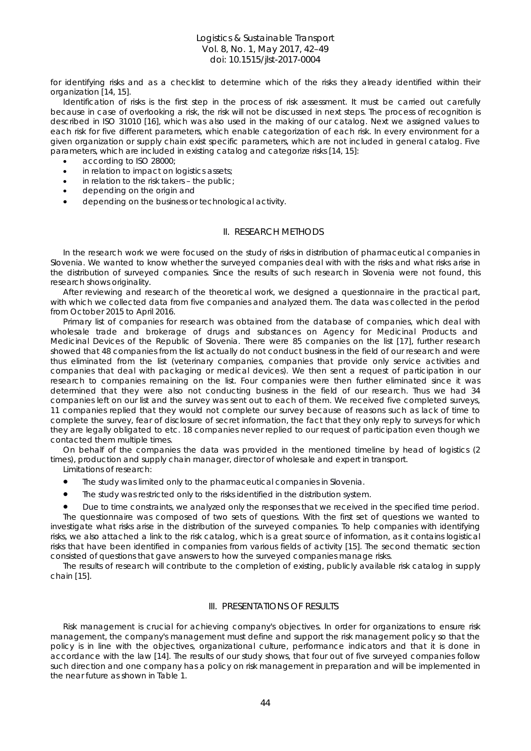for identifying risks and as a checklist to determine which of the risks they already identified within their organization [14, 15].

Identification of risks is the first step in the process of risk assessment. It must be carried out carefully because in case of overlooking a risk, the risk will not be discussed in next steps. The process of recognition is described in ISO 31010 [16], which was also used in the making of our catalog. Next we assigned values to each risk for five different parameters, which enable categorization of each risk. In every environment for a given organization or supply chain exist specific parameters, which are not included in general catalog. Five parameters, which are included in existing catalog and categorize risks [14, 15]:

- according to ISO 28000;
- in relation to impact on logistics assets;
- in relation to the risk takers the public;
- depending on the origin and
- depending on the business or technological activity.

### II. RESEARCH METHODS

In the research work we were focused on the study of risks in distribution of pharmaceutical companies in Slovenia. We wanted to know whether the surveyed companies deal with with the risks and what risks arise in the distribution of surveyed companies. Since the results of such research in Slovenia were not found, this research shows originality.

After reviewing and research of the theoretical work, we designed a questionnaire in the practical part, with which we collected data from five companies and analyzed them. The data was collected in the period from October 2015 to April 2016.

Primary list of companies for research was obtained from the database of companies, which deal with wholesale trade and brokerage of drugs and substances on Agency for Medicinal Products and Medicinal Devices of the Republic of Slovenia. There were 85 companies on the list [17], further research showed that 48 companies from the list actually do not conduct business in the field of our research and were thus eliminated from the list (veterinary companies, companies that provide only service activities and companies that deal with packaging or medical devices). We then sent a request of participation in our research to companies remaining on the list. Four companies were then further eliminated since it was determined that they were also not conducting business in the field of our research. Thus we had 34 companies left on our list and the survey was sent out to each of them. We received five completed surveys, 11 companies replied that they would not complete our survey because of reasons such as lack of time to complete the survey, fear of disclosure of secret information, the fact that they only reply to surveys for which they are legally obligated to etc. 18 companies never replied to our request of participation even though we contacted them multiple times.

On behalf of the companies the data was provided in the mentioned timeline by head of logistics (2 times), production and supply chain manager, director of wholesale and expert in transport.

- Limitations of research:
- The study was limited only to the pharmaceutical companies in Slovenia.
- The study was restricted only to the risks identified in the distribution system.

• Due to time constraints, we analyzed only the responses that we received in the specified time period. The questionnaire was composed of two sets of questions. With the first set of questions we wanted to investigate what risks arise in the distribution of the surveyed companies. To help companies with identifying risks, we also attached a link to the risk catalog, which is a great source of information, as it contains logistical risks that have been identified in companies from various fields of activity [15]. The second thematic section consisted of questions that gave answers to how the surveyed companies manage risks.

The results of research will contribute to the completion of existing, publicly available risk catalog in supply chain [15].

### III. PRESENTATIONS OF RESULTS

Risk management is crucial for achieving company's objectives. In order for organizations to ensure risk management, the company's management must define and support the risk management policy so that the policy is in line with the objectives, organizational culture, performance indicators and that it is done in accordance with the law [14]. The results of our study shows, that four out of five surveyed companies follow such direction and one company has a policy on risk management in preparation and will be implemented in the near future as shown in Table 1.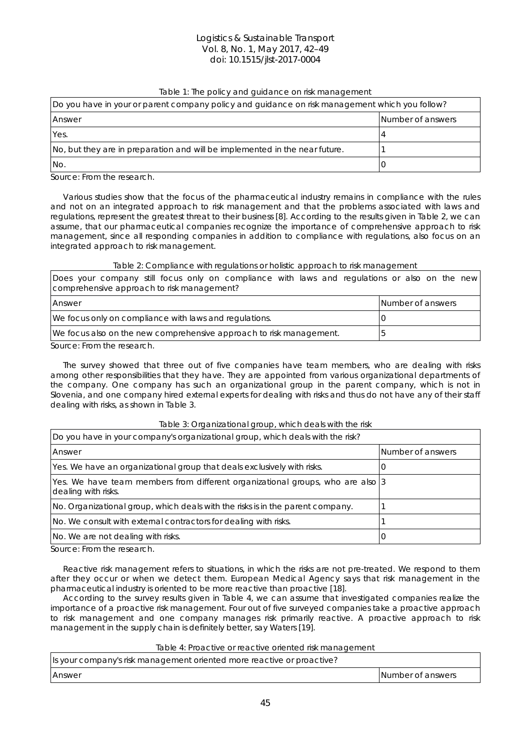## Table 1: The policy and guidance on risk management

| Do you have in your or parent company policy and guidance on risk management which you follow? |                   |  |  |  |
|------------------------------------------------------------------------------------------------|-------------------|--|--|--|
| Answer                                                                                         | Number of answers |  |  |  |
| Yes.                                                                                           |                   |  |  |  |
| No, but they are in preparation and will be implemented in the near future.                    |                   |  |  |  |
| INo.                                                                                           |                   |  |  |  |

Source: From the research.

Various studies show that the focus of the pharmaceutical industry remains in compliance with the rules and not on an integrated approach to risk management and that the problems associated with laws and regulations, represent the greatest threat to their business [8]. According to the results given in Table 2, we can assume, that our pharmaceutical companies recognize the importance of comprehensive approach to risk management, since all responding companies in addition to compliance with regulations, also focus on an integrated approach to risk management.

#### Table 2: Compliance with regulations or holistic approach to risk management

|                                            |  |  |  |  |  |  | Does your company still focus only on compliance with laws and regulations or also on the new |  |  |  |  |  |  |
|--------------------------------------------|--|--|--|--|--|--|-----------------------------------------------------------------------------------------------|--|--|--|--|--|--|
| comprehensive approach to risk management? |  |  |  |  |  |  |                                                                                               |  |  |  |  |  |  |
|                                            |  |  |  |  |  |  |                                                                                               |  |  |  |  |  |  |

| <b>Answer</b>                                                       | Number of answers |
|---------------------------------------------------------------------|-------------------|
| We focus only on compliance with laws and regulations.              |                   |
| We focus also on the new comprehensive approach to risk management. |                   |

Source: From the research.

The survey showed that three out of five companies have team members, who are dealing with risks among other responsibilities that they have. They are appointed from various organizational departments of the company. One company has such an organizational group in the parent company, which is not in Slovenia, and one company hired external experts for dealing with risks and thus do not have any of their staff dealing with risks, as shown in Table 3.

| Do you have in your company's organizational group, which deals with the risk?                        |                   |  |  |  |  |
|-------------------------------------------------------------------------------------------------------|-------------------|--|--|--|--|
| Answer                                                                                                | Number of answers |  |  |  |  |
| Yes. We have an organizational group that deals exclusively with risks.                               |                   |  |  |  |  |
| Yes. We have team members from different organizational groups, who are also 3<br>dealing with risks. |                   |  |  |  |  |
| No. Organizational group, which deals with the risks is in the parent company.                        |                   |  |  |  |  |
| No. We consult with external contractors for dealing with risks.                                      |                   |  |  |  |  |
| No. We are not dealing with risks.                                                                    |                   |  |  |  |  |

Table 3: Organizational group, which deals with the risk

Source: From the research.

Reactive risk management refers to situations, in which the risks are not pre-treated. We respond to them after they occur or when we detect them. European Medical Agency says that risk management in the pharmaceutical industry is oriented to be more reactive than proactive [18].

According to the survey results given in Table 4, we can assume that investigated companies realize the importance of a proactive risk management. Four out of five surveyed companies take a proactive approach to risk management and one company manages risk primarily reactive. A proactive approach to risk management in the supply chain is definitely better, say Waters [19].

## Table 4: Proactive or reactive oriented risk management

| Is your company's risk management oriented more reactive or proactive? |                   |
|------------------------------------------------------------------------|-------------------|
| <b>Answer</b>                                                          | Number of answers |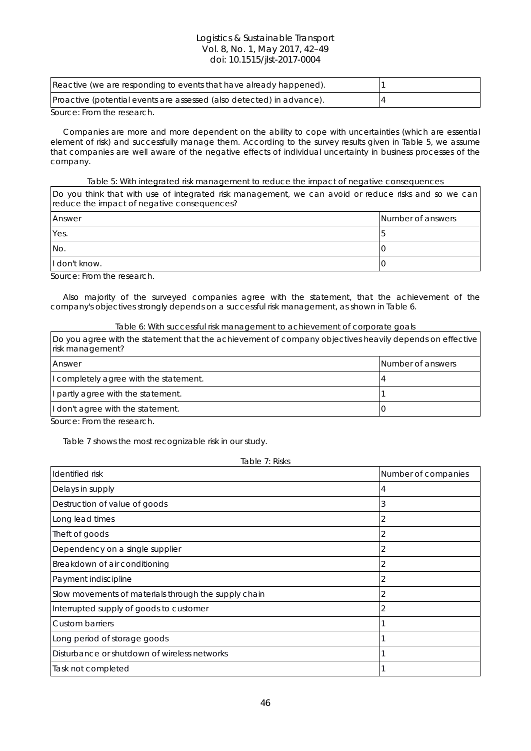| Reactive (we are responding to events that have already happened).    |  |
|-----------------------------------------------------------------------|--|
| Proactive (potential events are assessed (also detected) in advance). |  |

Source: From the research.

Companies are more and more dependent on the ability to cope with uncertainties (which are essential element of risk) and successfully manage them. According to the survey results given in Table 5, we assume that companies are well aware of the negative effects of individual uncertainty in business processes of the company.

## Table 5: With integrated risk management to reduce the impact of negative consequences

Do you think that with use of integrated risk management, we can avoid or reduce risks and so we can reduce the impact of negative consequences?

| Answer        | Number of answers |
|---------------|-------------------|
| Yes.          |                   |
| No.           |                   |
| I don't know. |                   |

Source: From the research.

Also majority of the surveyed companies agree with the statement, that the achievement of the company's objectives strongly depends on a successful risk management, as shown in Table 6.

## Table 6: With successful risk management to achievement of corporate goals

| Do you agree with the statement that the achievement of company objectives heavily depends on effective<br>risk management? |                   |  |  |  |
|-----------------------------------------------------------------------------------------------------------------------------|-------------------|--|--|--|
| Answer                                                                                                                      | Number of answers |  |  |  |
| I completely agree with the statement.                                                                                      |                   |  |  |  |
| I partly agree with the statement.                                                                                          |                   |  |  |  |
| I don't agree with the statement.                                                                                           |                   |  |  |  |

Source: From the research.

Table 7 shows the most recognizable risk in our study.

Table 7: Risks **Identified risk Number of companies**  $\blacksquare$ Delays in supply  $\vert 4 \vert$ Destruction of value of goods  $\vert$  3 Long lead times 2 The ft of goods  $\vert$  2 Dependency on a single supplier 2 and 2 and 2 and 2 and 2 and 2 and 2 and 2 and 2 and 2 and 2 and 2 and 2 and 2 and 2 and 2 and 2 and 2 and 2 and 2 and 2 and 2 and 2 and 2 and 2 and 2 and 2 and 2 and 2 and 2 and 2 and 2 an Breakdown of air conditioning 2 Payment indiscipline 2 Slow movements of materials through the supply chain  $\vert$ 2 Interrupted supply of goods to customer  $\vert$  2 Custom barriers 1 Long period of storage goods 1 and 2 and 2 and 2 and 2 and 2 and 2 and 2 and 2 and 2 and 2 and 2 and 2 and 2 and 2 and 2 and 2 and 2 and 2 and 2 and 2 and 2 and 2 and 2 and 2 and 2 and 2 and 2 and 2 and 2 and 2 and 2 and 2 Disturbance or shutdown of wireless networks 1 Task not completed a state of the state of the state  $\vert$  1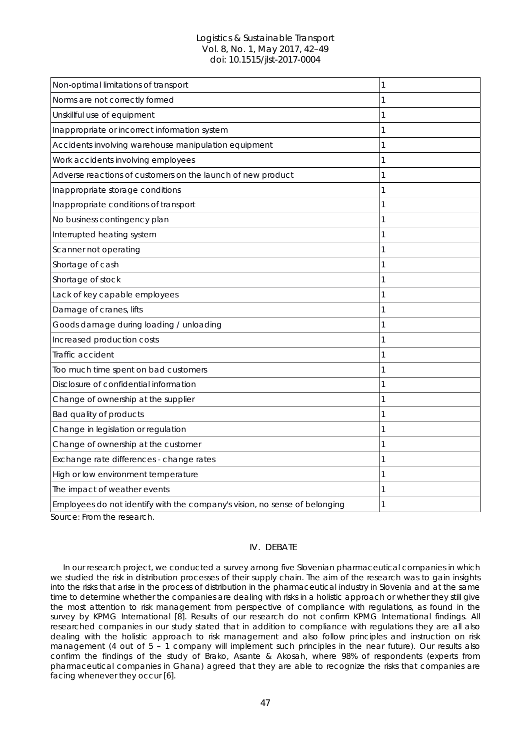| Non-optimal limitations of transport                                       | 1 |
|----------------------------------------------------------------------------|---|
| Norms are not correctly formed                                             | 1 |
| Unskillful use of equipment                                                | 1 |
| Inappropriate or incorrect information system                              | 1 |
| Accidents involving warehouse manipulation equipment                       | 1 |
| Work accidents involving employees                                         | 1 |
| Adverse reactions of customers on the launch of new product                | 1 |
| Inappropriate storage conditions                                           | 1 |
| Inappropriate conditions of transport                                      | 1 |
| No business contingency plan                                               | 1 |
| Interrupted heating system                                                 | 1 |
| Scanner not operating                                                      | 1 |
| Shortage of cash                                                           | 1 |
| Shortage of stock                                                          | 1 |
| Lack of key capable employees                                              | 1 |
| Damage of cranes, lifts                                                    | 1 |
| Goods damage during loading / unloading                                    | 1 |
| Increased production costs                                                 | 1 |
| Traffic accident                                                           | 1 |
| Too much time spent on bad customers                                       | 1 |
| Disclosure of confidential information                                     | 1 |
| Change of ownership at the supplier                                        | 1 |
| Bad quality of products                                                    | 1 |
| Change in legislation or regulation                                        | 1 |
| Change of ownership at the customer                                        | 1 |
| Exchange rate differences - change rates                                   | 1 |
| High or low environment temperature                                        | 1 |
| The impact of weather events                                               | 1 |
| Employees do not identify with the company's vision, no sense of belonging | 1 |

Source: From the research.

## IV. DEBATE

In our research project, we conducted a survey among five Slovenian pharmaceutical companies in which we studied the risk in distribution processes of their supply chain. The aim of the research was to gain insights into the risks that arise in the process of distribution in the pharmaceutical industry in Slovenia and at the same time to determine whether the companies are dealing with risks in a holistic approach or whether they still give the most attention to risk management from perspective of compliance with regulations, as found in the survey by KPMG International [8]. Results of our research do not confirm KPMG International findings. All researched companies in our study stated that in addition to compliance with regulations they are all also dealing with the holistic approach to risk management and also follow principles and instruction on risk management (4 out of 5 - 1 company will implement such principles in the near future). Our results also confirm the findings of the study of Brako, Asante & Akosah, where 98% of respondents (experts from pharmaceutical companies in Ghana) agreed that they are able to recognize the risks that companies are facing whenever they occur [6].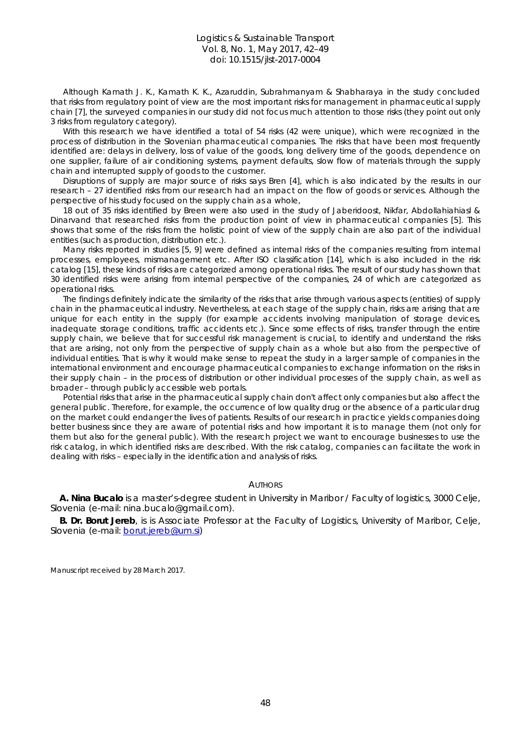Although Kamath J. K., Kamath K. K., Azaruddin, Subrahmanyam & Shabharaya in the study concluded that risks from regulatory point of view are the most important risks for management in pharmaceutical supply chain [7], the surveyed companies in our study did not focus much attention to those risks (they point out only 3 risks from regulatory category).

With this research we have identified a total of 54 risks (42 were unique), which were recognized in the process of distribution in the Slovenian pharmaceutical companies. The risks that have been most frequently identified are: delays in delivery, loss of value of the goods, long delivery time of the goods, dependence on one supplier, failure of air conditioning systems, payment defaults, slow flow of materials through the supply chain and interrupted supply of goods to the customer.

Disruptions of supply are major source of risks says Bren [4], which is also indicated by the results in our research – 27 identified risks from our research had an impact on the flow of goods or services. Although the perspective of his study focused on the supply chain as a whole,

18 out of 35 risks identified by Breen were also used in the study of Jaberidoost, Nikfar, Abdollahiahiasl & Dinarvand that researched risks from the production point of view in pharmaceutical companies [5]. This shows that some of the risks from the holistic point of view of the supply chain are also part of the individual entities (such as production, distribution etc.).

Many risks reported in studies [5, 9] were defined as internal risks of the companies resulting from internal processes, employees, mismanagement etc. After ISO classification [14], which is also included in the risk catalog [15], these kinds of risks are categorized among operational risks. The result of our study has shown that 30 identified risks were arising from internal perspective of the companies, 24 of which are categorized as operational risks.

The findings definitely indicate the similarity of the risks that arise through various aspects (entities) of supply chain in the pharmaceutical industry. Nevertheless, at each stage of the supply chain, risks are arising that are unique for each entity in the supply (for example accidents involving manipulation of storage devices, inadequate storage conditions, traffic accidents etc.). Since some effects of risks, transfer through the entire supply chain, we believe that for successful risk management is crucial, to identify and understand the risks that are arising, not only from the perspective of supply chain as a whole but also from the perspective of individual entities. That is why it would make sense to repeat the study in a larger sample of companies in the international environment and encourage pharmaceutical companies to exchange information on the risks in their supply chain – in the process of distribution or other individual processes of the supply chain, as well as broader – through publicly accessible web portals.

Potential risks that arise in the pharmaceutical supply chain don't affect only companies but also affect the general public. Therefore, for example, the occurrence of low quality drug or the absence of a particular drug on the market could endanger the lives of patients. Results of our research in practice yields companies doing better business since they are aware of potential risks and how important it is to manage them (not only for them but also for the general public). With the research project we want to encourage businesses to use the risk catalog, in which identified risks are described. With the risk catalog, companies can facilitate the work in dealing with risks – especially in the identification and analysis of risks.

## **AUTHORS**

**A. Nina Bucalo** is a master's-degree student in University in Maribor / Faculty of logistics, 3000 Celje, Slovenia (e-mail: nina.bucalo@gmail.com).

**B. Dr. Borut Jereb**, is is Associate Professor at the Faculty of Logistics, University of Maribor, Celje, Slovenia (e-mail: [borut.jereb@um.si\)](mailto:borut.jereb@um.si)

Manuscript received by 28 March 2017.